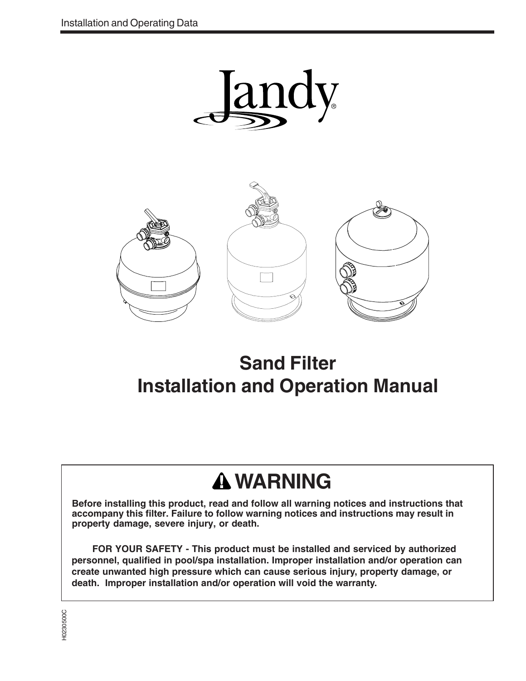



## **Sand Filter Installation and Operation Manual**

## **WARNING**

**Before installing this product, read and follow all warning notices and instructions that accompany this filter. Failure to follow warning notices and instructions may result in property damage, severe injury, or death.**

**FOR YOUR SAFETY - This product must be installed and serviced by authorized personnel, qualified in pool/spa installation. Improper installation and/or operation can create unwanted high pressure which can cause serious injury, property damage, or death. Improper installation and/or operation will void the warranty.**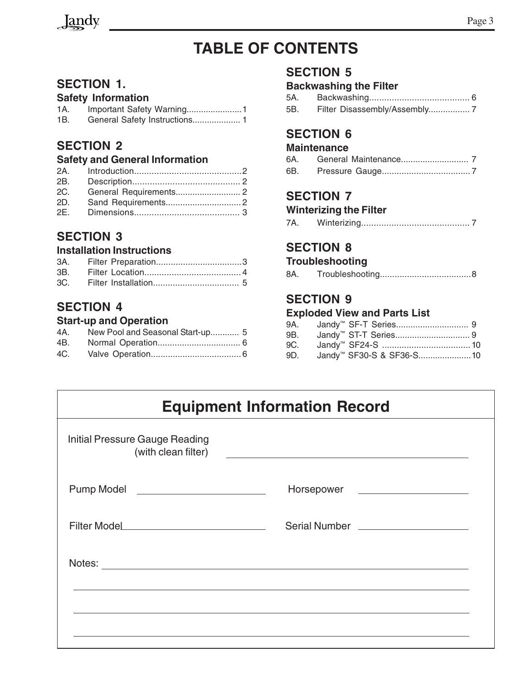

### **TABLE OF CONTENTS**

### **SECTION 1.**

### **Safety Information**

| 1A. |  |
|-----|--|
| 1B. |  |

### **SECTION 2**

### **Safety and General Information**

### **SECTION 3**

### **Installation Instructions**

### **SECTION 4**

### **Start-up and Operation**

| 4A. New Pool and Seasonal Start-up 5 |  |
|--------------------------------------|--|
|                                      |  |
|                                      |  |

### **SECTION 5**

### **Backwashing the Filter**

5A. Backwashing........................................ 6 5B. Filter Disassembly/Assembly................. 7

### **SECTION 6**

### **Maintenance**

| 6A. |  |
|-----|--|
| 6B. |  |

### **SECTION 7**

### **Winterizing the Filter**

7A. Winterizing........................................... 7

### **SECTION 8**

### **Troubleshooting**

| 8A. |  |  |
|-----|--|--|
|-----|--|--|

### **SECTION 9**

#### **Exploded View and Parts List**

| 9B. |                                      |  |
|-----|--------------------------------------|--|
|     |                                      |  |
| 9D. | Jandy <sup>™</sup> SF30-S & SF36-S10 |  |

| <b>Equipment Information Record</b> |                                                                                                                                                                                                                                      |  |  |  |
|-------------------------------------|--------------------------------------------------------------------------------------------------------------------------------------------------------------------------------------------------------------------------------------|--|--|--|
| Initial Pressure Gauge Reading      | (with clean filter)                                                                                                                                                                                                                  |  |  |  |
| Pump Model ________________________ | Horsepower _____________________                                                                                                                                                                                                     |  |  |  |
|                                     |                                                                                                                                                                                                                                      |  |  |  |
|                                     | Notes: <u>with the contract of the contract of the contract of the contract of the contract of the contract of the contract of the contract of the contract of the contract of the contract of the contract of the contract of t</u> |  |  |  |
|                                     |                                                                                                                                                                                                                                      |  |  |  |
|                                     |                                                                                                                                                                                                                                      |  |  |  |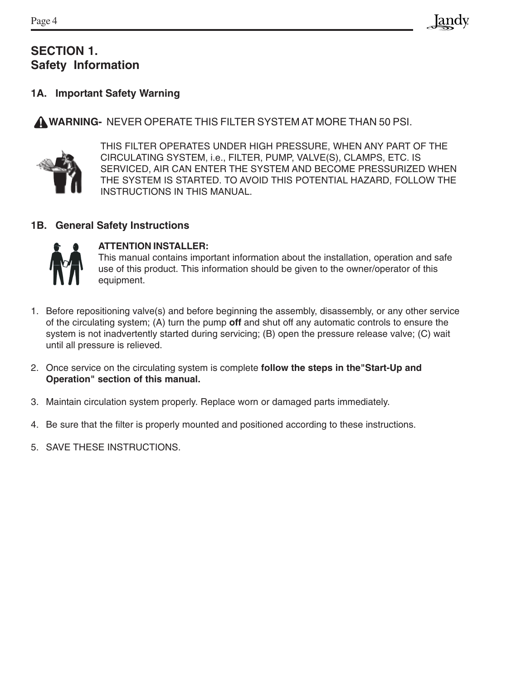### **SECTION 1. Safety Information**

### **1A. Important Safety Warning**

 **WARNING-** NEVER OPERATE THIS FILTER SYSTEM AT MORE THAN 50 PSI.



THIS FILTER OPERATES UNDER HIGH PRESSURE, WHEN ANY PART OF THE CIRCULATING SYSTEM, i.e., FILTER, PUMP, VALVE(S), CLAMPS, ETC. IS SERVICED, AIR CAN ENTER THE SYSTEM AND BECOME PRESSURIZED WHEN THE SYSTEM IS STARTED. TO AVOID THIS POTENTIAL HAZARD, FOLLOW THE INSTRUCTIONS IN THIS MANUAL.

### **1B. General Safety Instructions**



### **ATTENTION INSTALLER:**

This manual contains important information about the installation, operation and safe use of this product. This information should be given to the owner/operator of this equipment.

- 1. Before repositioning valve(s) and before beginning the assembly, disassembly, or any other service of the circulating system; (A) turn the pump **off** and shut off any automatic controls to ensure the system is not inadvertently started during servicing; (B) open the pressure release valve; (C) wait until all pressure is relieved.
- 2. Once service on the circulating system is complete **follow the steps in the"Start-Up and Operation" section of this manual.**
- 3. Maintain circulation system properly. Replace worn or damaged parts immediately.
- 4. Be sure that the filter is properly mounted and positioned according to these instructions.
- 5. SAVE THESE INSTRUCTIONS.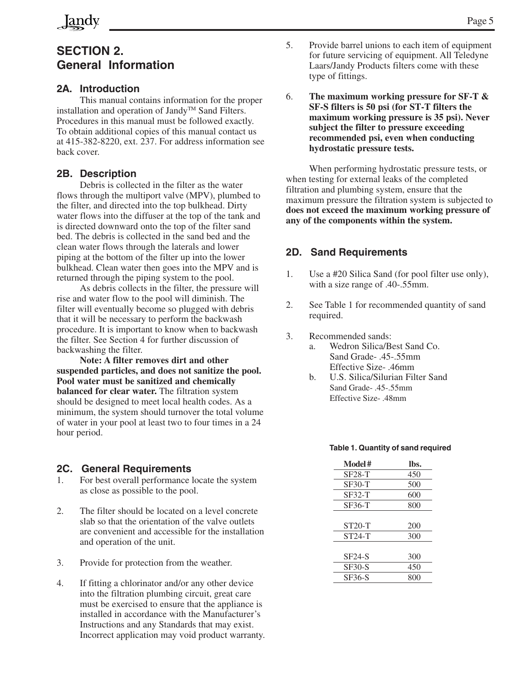### **SECTION 2. General Information**

### **2A. Introduction**

This manual contains information for the proper installation and operation of Jandy™ Sand Filters. Procedures in this manual must be followed exactly. To obtain additional copies of this manual contact us at 415-382-8220, ext. 237. For address information see back cover.

#### **2B. Description**

Debris is collected in the filter as the water flows through the multiport valve (MPV), plumbed to the filter, and directed into the top bulkhead. Dirty water flows into the diffuser at the top of the tank and is directed downward onto the top of the filter sand bed. The debris is collected in the sand bed and the clean water flows through the laterals and lower piping at the bottom of the filter up into the lower bulkhead. Clean water then goes into the MPV and is returned through the piping system to the pool.

As debris collects in the filter, the pressure will rise and water flow to the pool will diminish. The filter will eventually become so plugged with debris that it will be necessary to perform the backwash procedure. It is important to know when to backwash the filter. See Section 4 for further discussion of backwashing the filter.

**Note: A filter removes dirt and other suspended particles, and does not sanitize the pool. Pool water must be sanitized and chemically balanced for clear water.** The filtration system should be designed to meet local health codes. As a minimum, the system should turnover the total volume of water in your pool at least two to four times in a 24 hour period.

#### **2C. General Requirements**

- 1. For best overall performance locate the system as close as possible to the pool.
- 2. The filter should be located on a level concrete slab so that the orientation of the valve outlets are convenient and accessible for the installation and operation of the unit.
- 3. Provide for protection from the weather.
- 4. If fitting a chlorinator and/or any other device into the filtration plumbing circuit, great care must be exercised to ensure that the appliance is installed in accordance with the Manufacturer's Instructions and any Standards that may exist. Incorrect application may void product warranty.
- 5. Provide barrel unions to each item of equipment for future servicing of equipment. All Teledyne Laars/Jandy Products filters come with these type of fittings.
- 6. **The maximum working pressure for SF-T & SF-S filters is 50 psi (for ST-T filters the maximum working pressure is 35 psi). Never subject the filter to pressure exceeding recommended psi, even when conducting hydrostatic pressure tests.**

When performing hydrostatic pressure tests, or when testing for external leaks of the completed filtration and plumbing system, ensure that the maximum pressure the filtration system is subjected to **does not exceed the maximum working pressure of any of the components within the system.**

### **2D. Sand Requirements**

- 1. Use a #20 Silica Sand (for pool filter use only), with a size range of .40-.55mm.
- 2. See Table 1 for recommended quantity of sand required.
- 3. Recommended sands:
	- a. Wedron Silica/Best Sand Co. Sand Grade- .45-.55mm Effective Size- .46mm
	- b. U.S. Silica/Silurian Filter Sand Sand Grade- .45-.55mm Effective Size- .48mm

#### **Table 1. Quantity of sand required**

| Model#        | lbs. |
|---------------|------|
| <b>SF28-T</b> | 450  |
| $SF30-T$      | 500  |
| $SF32-T$      | 600  |
| SF36-T        | 800  |
|               |      |
| $ST20-T$      | 200  |
| $ST24-T$      | 300  |
|               |      |
| $SF24-S$      | 300  |
| <b>SF30-S</b> | 450  |
| SF36-S        | 800  |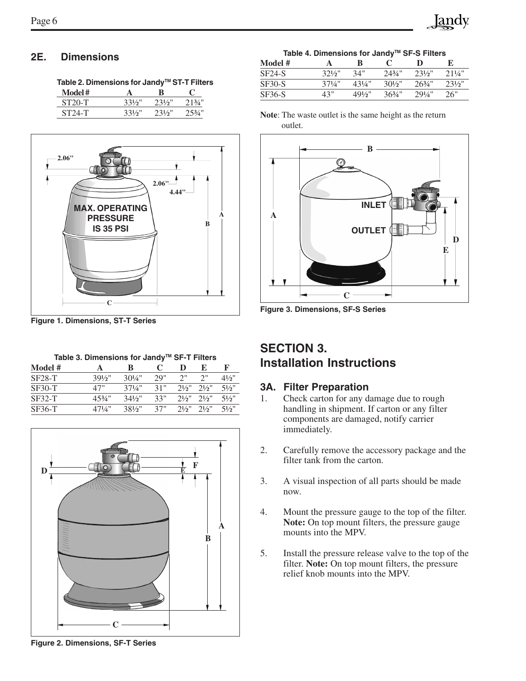Table 2. Dimensions for Jandy<sup>™</sup> ST-T Filters

| Model #  |           |        |           |
|----------|-----------|--------|-----------|
| ST20-T   | $331/5$ " | 231/5" | $213/4$ " |
| $ST24-T$ | $331/5$ " | 731/5" | $253/1$ " |



**Figure 1. Dimensions, ST-T Series**

Table 3. Dimensions for Jandy<sup>™</sup> SF-T Filters

| Model #       |                   | B                 | $\mathbf{\mathcal{L}}$ | Ð        | E.         | К                |
|---------------|-------------------|-------------------|------------------------|----------|------------|------------------|
| <b>SF28-T</b> | $39\frac{1}{2}$ " | $30\frac{1}{4}$ " | 29"                    | 2"       | $\gamma$ " | $4\frac{1}{2}$   |
| $SF30-T$      | 47"               | $37\frac{1}{4}$ " | 31"                    | 21/2"    | 21/2"      | $5\frac{1}{2}$ " |
| $SF32-T$      | $45\frac{3}{4}$ " | $34\frac{1}{2}$   | 33"                    | $21/2$ " | 21/2"      | $5\frac{1}{2}$ " |
| SF36-T        | $47\frac{1}{4}$ " | $381/5$ "         | 37"                    | 21/2"    | 21/2"      | 51/2"            |



**2E. Dimensions Table 4. Dimensions for JandyTM SF-S Filters**

| Model #  |           | ĸ               |                   |           | Е         |
|----------|-----------|-----------------|-------------------|-----------|-----------|
| $SF24-S$ | $321/2$ " | 34"             | $243/4$ "         | $231/5$ " | 2.11/4"   |
| $SF30-S$ | 371/1     | 431/4"          | $30\frac{1}{2}$   | 263/1     | $231/5$ " |
| SF36-S   | 43"       | $49\frac{1}{2}$ | $36\frac{3}{4}$ " | 291/4"    | 26"       |

**Note**: The waste outlet is the same height as the return outlet.



**Figure 3. Dimensions, SF-S Series**

### **SECTION 3. Installation Instructions**

### **3A. Filter Preparation**

- 1. Check carton for any damage due to rough handling in shipment. If carton or any filter components are damaged, notify carrier immediately.
- 2. Carefully remove the accessory package and the filter tank from the carton.
- 3. A visual inspection of all parts should be made now.
- 4. Mount the pressure gauge to the top of the filter. **Note:** On top mount filters, the pressure gauge mounts into the MPV.
- 5. Install the pressure release valve to the top of the filter. **Note:** On top mount filters, the pressure relief knob mounts into the MPV.

**Figure 2. Dimensions, SF-T Series**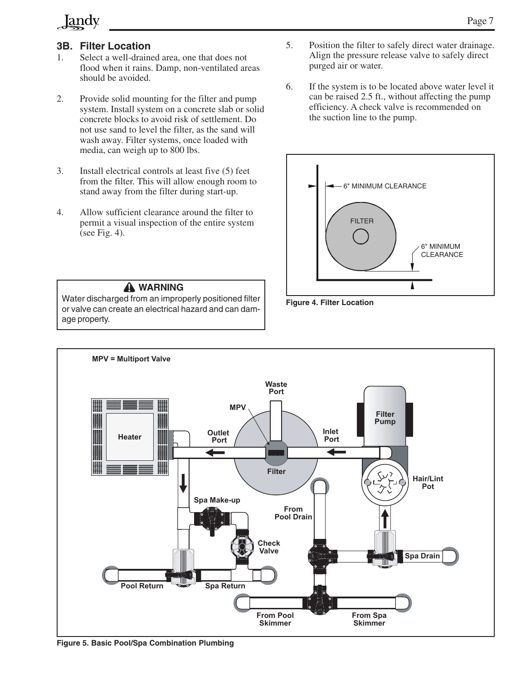### Jandy

### **3B. Filter Location**

- 1. Select a well-drained area, one that does not flood when it rains. Damp, non-ventilated areas should be avoided.
- 2. Provide solid mounting for the filter and pump system. Install system on a concrete slab or solid concrete blocks to avoid risk of settlement. Do not use sand to level the filter, as the sand will wash away. Filter systems, once loaded with media, can weigh up to 800 lbs.
- 3. Install electrical controls at least five (5) feet from the filter. This will allow enough room to stand away from the filter during start-up.
- 4. Allow sufficient clearance around the filter to permit a visual inspection of the entire system (see Fig. 4).

### **WARNING**

Water discharged from an improperly positioned filter or valve can create an electrical hazard and can damage property.

- 5. Position the filter to safely direct water drainage. Align the pressure release valve to safely direct purged air or water.
- 6. If the system is to be located above water level it can be raised 2.5 ft., without affecting the pump efficiency. A check valve is recommended on the suction line to the pump.







**Figure 5. Basic Pool/Spa Combination Plumbing**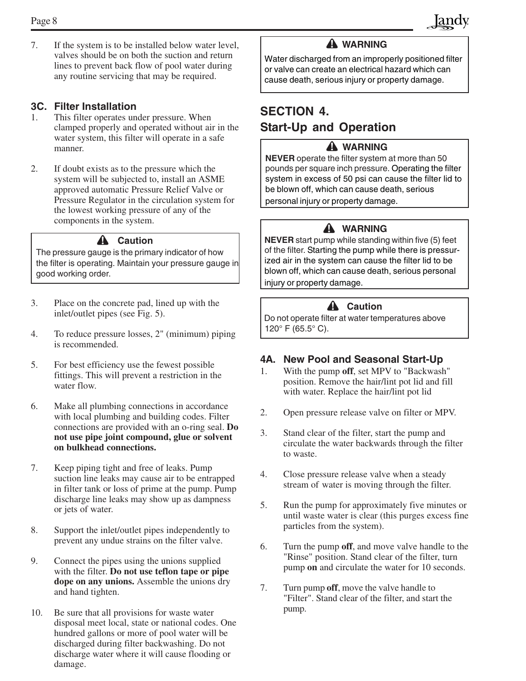7. If the system is to be installed below water level, valves should be on both the suction and return lines to prevent back flow of pool water during any routine servicing that may be required.

#### **3C. Filter Installation**

- 1. This filter operates under pressure. When clamped properly and operated without air in the water system, this filter will operate in a safe manner.
- 2. If doubt exists as to the pressure which the system will be subjected to, install an ASME approved automatic Pressure Relief Valve or Pressure Regulator in the circulation system for the lowest working pressure of any of the components in the system.

#### A Caution

The pressure gauge is the primary indicator of how the filter is operating. Maintain your pressure gauge in good working order.

- 3. Place on the concrete pad, lined up with the inlet/outlet pipes (see Fig. 5).
- 4. To reduce pressure losses, 2" (minimum) piping is recommended.
- 5. For best efficiency use the fewest possible fittings. This will prevent a restriction in the water flow.
- 6. Make all plumbing connections in accordance with local plumbing and building codes. Filter connections are provided with an o-ring seal. **Do not use pipe joint compound, glue or solvent on bulkhead connections.**
- 7. Keep piping tight and free of leaks. Pump suction line leaks may cause air to be entrapped in filter tank or loss of prime at the pump. Pump discharge line leaks may show up as dampness or jets of water.
- 8. Support the inlet/outlet pipes independently to prevent any undue strains on the filter valve.
- 9. Connect the pipes using the unions supplied with the filter. **Do not use teflon tape or pipe dope on any unions.** Assemble the unions dry and hand tighten.
- 10. Be sure that all provisions for waste water disposal meet local, state or national codes. One hundred gallons or more of pool water will be discharged during filter backwashing. Do not discharge water where it will cause flooding or damage.

### **WARNING**

Water discharged from an improperly positioned filter or valve can create an electrical hazard which can cause death, serious injury or property damage.

### **SECTION 4. Start-Up and Operation**

### **WARNING**

**NEVER** operate the filter system at more than 50 pounds per square inch pressure. Operating the filter system in excess of 50 psi can cause the filter lid to be blown off, which can cause death, serious personal injury or property damage.

### **WARNING**

**NEVER** start pump while standing within five (5) feet of the filter. Starting the pump while there is pressurized air in the system can cause the filter lid to be blown off, which can cause death, serious personal injury or property damage.

### **A** Caution

 Do not operate filter at water temperatures above 120° F (65.5° C).

### **4A. New Pool and Seasonal Start-Up**

- 1. With the pump **off**, set MPV to "Backwash" position. Remove the hair/lint pot lid and fill with water. Replace the hair/lint pot lid
- 2. Open pressure release valve on filter or MPV.
- 3. Stand clear of the filter, start the pump and circulate the water backwards through the filter to waste.
- 4. Close pressure release valve when a steady stream of water is moving through the filter.
- 5. Run the pump for approximately five minutes or until waste water is clear (this purges excess fine particles from the system).
- 6. Turn the pump **off**, and move valve handle to the "Rinse" position. Stand clear of the filter, turn pump **on** and circulate the water for 10 seconds.
- 7. Turn pump **off**, move the valve handle to "Filter". Stand clear of the filter, and start the pump.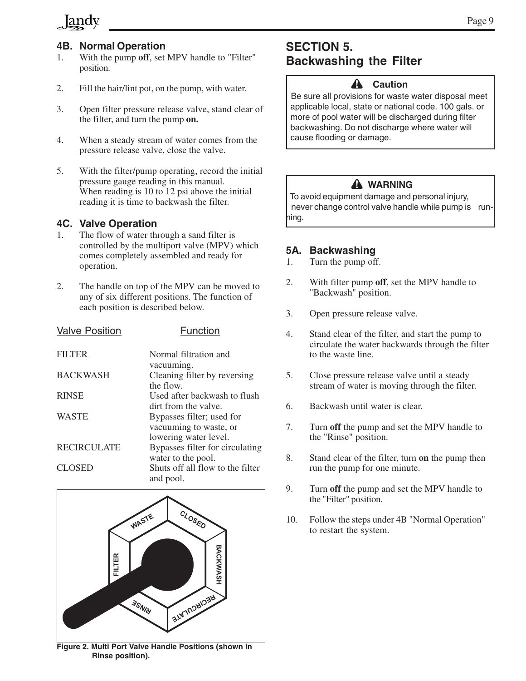### **Jandy**

### **4B. Normal Operation**

- 1. With the pump **off**, set MPV handle to "Filter" position.
- 2. Fill the hair/lint pot, on the pump, with water.
- 3. Open filter pressure release valve, stand clear of the filter, and turn the pump **on.**
- 4. When a steady stream of water comes from the pressure release valve, close the valve.
- 5. With the filter/pump operating, record the initial pressure gauge reading in this manual. When reading is 10 to 12 psi above the initial reading it is time to backwash the filter.

### **4C. Valve Operation**

- 1. The flow of water through a sand filter is controlled by the multiport valve (MPV) which comes completely assembled and ready for operation.
- 2. The handle on top of the MPV can be moved to any of six different positions. The function of each position is described below.

| <b>Valve Position</b> | <b>Function</b>                  |
|-----------------------|----------------------------------|
| <b>FILTER</b>         | Normal filtration and            |
|                       | vacuuming.                       |
| <b>BACKWASH</b>       | Cleaning filter by reversing     |
|                       | the flow.                        |
| <b>RINSE</b>          | Used after backwash to flush     |
|                       | dirt from the valve.             |
| <b>WASTE</b>          | Bypasses filter; used for        |
|                       | vacuuming to waste, or           |
|                       | lowering water level.            |
| <b>RECIRCULATE</b>    | Bypasses filter for circulating  |
|                       | water to the pool.               |
| <b>CLOSED</b>         | Shuts off all flow to the filter |
|                       | and pool.                        |
|                       |                                  |



**Figure 2. Multi Port Valve Handle Positions (shown in Rinse position).**

### **SECTION 5. Backwashing the Filter**

### **Caution**

 Be sure all provisions for waste water disposal meet applicable local, state or national code. 100 gals. or more of pool water will be discharged during filter backwashing. Do not discharge where water will cause flooding or damage.

### **WARNING**

 To avoid equipment damage and personal injury, never change control valve handle while pump is running.

### **5A. Backwashing**

- 1. Turn the pump off.
- 2. With filter pump **off**, set the MPV handle to "Backwash" position.
- 3. Open pressure release valve.
- 4. Stand clear of the filter, and start the pump to circulate the water backwards through the filter to the waste line.
- 5. Close pressure release valve until a steady stream of water is moving through the filter.
- 6. Backwash until water is clear.
- 7. Turn **off** the pump and set the MPV handle to the "Rinse" position.
- 8. Stand clear of the filter, turn **on** the pump then run the pump for one minute.
- 9. Turn **off** the pump and set the MPV handle to the "Filter" position.
- 10. Follow the steps under 4B "Normal Operation" to restart the system.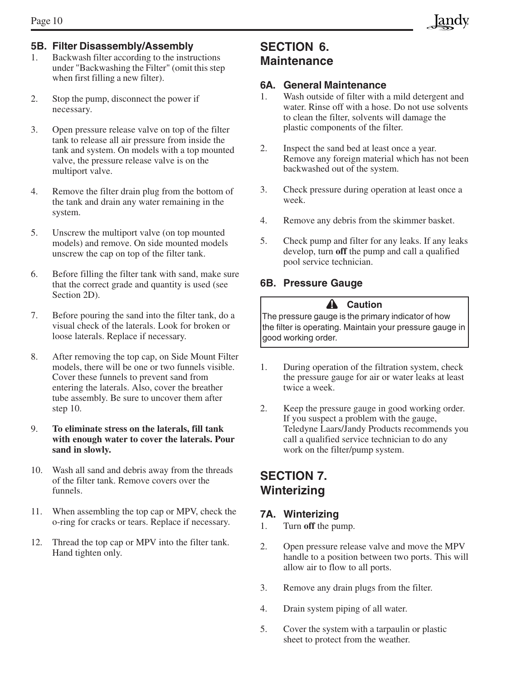### **5B. Filter Disassembly/Assembly**

- 1. Backwash filter according to the instructions under "Backwashing the Filter" (omit this step when first filling a new filter).
- 2. Stop the pump, disconnect the power if necessary.
- 3. Open pressure release valve on top of the filter tank to release all air pressure from inside the tank and system. On models with a top mounted valve, the pressure release valve is on the multiport valve.
- 4. Remove the filter drain plug from the bottom of the tank and drain any water remaining in the system.
- 5. Unscrew the multiport valve (on top mounted models) and remove. On side mounted models unscrew the cap on top of the filter tank.
- 6. Before filling the filter tank with sand, make sure that the correct grade and quantity is used (see Section 2D).
- 7. Before pouring the sand into the filter tank, do a visual check of the laterals. Look for broken or loose laterals. Replace if necessary.
- 8. After removing the top cap, on Side Mount Filter models, there will be one or two funnels visible. Cover these funnels to prevent sand from entering the laterals. Also, cover the breather tube assembly. Be sure to uncover them after step 10.

#### 9. **To eliminate stress on the laterals, fill tank with enough water to cover the laterals. Pour sand in slowly.**

- 10. Wash all sand and debris away from the threads of the filter tank. Remove covers over the funnels.
- 11. When assembling the top cap or MPV, check the o-ring for cracks or tears. Replace if necessary.
- 12. Thread the top cap or MPV into the filter tank. Hand tighten only.

### **SECTION 6. Maintenance**

#### **6A. General Maintenance**

- 1. Wash outside of filter with a mild detergent and water. Rinse off with a hose. Do not use solvents to clean the filter, solvents will damage the plastic components of the filter.
- 2. Inspect the sand bed at least once a year. Remove any foreign material which has not been backwashed out of the system.
- 3. Check pressure during operation at least once a week.
- 4. Remove any debris from the skimmer basket.
- 5. Check pump and filter for any leaks. If any leaks develop, turn **off** the pump and call a qualified pool service technician.

### **6B. Pressure Gauge**

### **Caution**

The pressure gauge is the primary indicator of how the filter is operating. Maintain your pressure gauge in good working order.

- 1. During operation of the filtration system, check the pressure gauge for air or water leaks at least twice a week.
- 2. Keep the pressure gauge in good working order. If you suspect a problem with the gauge, Teledyne Laars/Jandy Products recommends you call a qualified service technician to do any work on the filter/pump system.

### **SECTION 7. Winterizing**

### **7A. Winterizing**

- 1. Turn **off** the pump.
- 2. Open pressure release valve and move the MPV handle to a position between two ports. This will allow air to flow to all ports.
- 3. Remove any drain plugs from the filter.
- 4. Drain system piping of all water.
- 5. Cover the system with a tarpaulin or plastic sheet to protect from the weather.

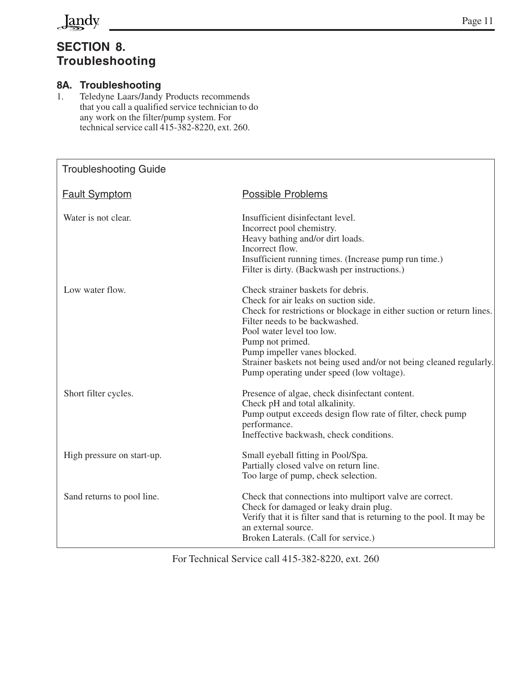

### **SECTION 8. Troubleshooting**

### **8A. Troubleshooting**

1. Teledyne Laars/Jandy Products recommends that you call a qualified service technician to do any work on the filter/pump system. For technical service call 415-382-8220, ext. 260.

| <b>Troubleshooting Guide</b> |                                                                                                                                                                                                                                                                                                                                                                                            |
|------------------------------|--------------------------------------------------------------------------------------------------------------------------------------------------------------------------------------------------------------------------------------------------------------------------------------------------------------------------------------------------------------------------------------------|
| <b>Fault Symptom</b>         | <b>Possible Problems</b>                                                                                                                                                                                                                                                                                                                                                                   |
| Water is not clear.          | Insufficient disinfectant level.<br>Incorrect pool chemistry.<br>Heavy bathing and/or dirt loads.<br>Incorrect flow.<br>Insufficient running times. (Increase pump run time.)<br>Filter is dirty. (Backwash per instructions.)                                                                                                                                                             |
| Low water flow.              | Check strainer baskets for debris.<br>Check for air leaks on suction side.<br>Check for restrictions or blockage in either suction or return lines.<br>Filter needs to be backwashed.<br>Pool water level too low.<br>Pump not primed.<br>Pump impeller vanes blocked.<br>Strainer baskets not being used and/or not being cleaned regularly.<br>Pump operating under speed (low voltage). |
| Short filter cycles.         | Presence of algae, check disinfectant content.<br>Check pH and total alkalinity.<br>Pump output exceeds design flow rate of filter, check pump<br>performance.<br>Ineffective backwash, check conditions.                                                                                                                                                                                  |
| High pressure on start-up.   | Small eyeball fitting in Pool/Spa.<br>Partially closed valve on return line.<br>Too large of pump, check selection.                                                                                                                                                                                                                                                                        |
| Sand returns to pool line.   | Check that connections into multiport valve are correct.<br>Check for damaged or leaky drain plug.<br>Verify that it is filter sand that is returning to the pool. It may be<br>an external source.<br>Broken Laterals. (Call for service.)                                                                                                                                                |

For Technical Service call 415-382-8220, ext. 260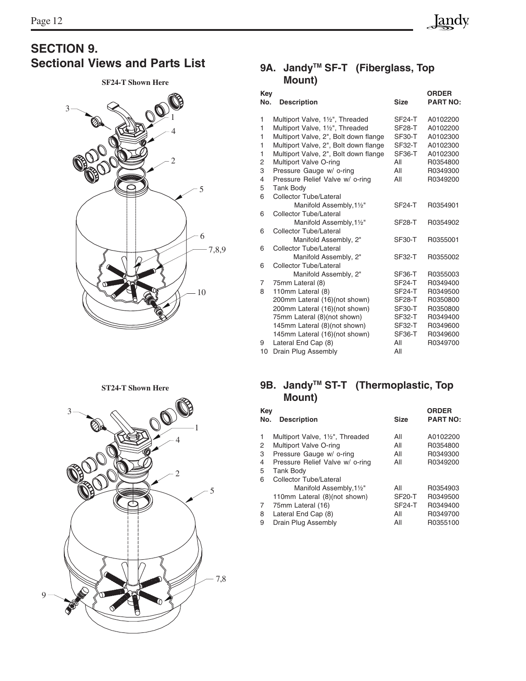# **SECTION 9.**<br>Sectional Views and Parts List

#### **SF24-T Shown Here**



### 9A. Jandy<sup>™</sup> SF-T (Fiberglass, Top **Mount)**

| Key<br>No.     | <b>Description</b>                    | <b>Size</b>         | <b>ORDER</b><br><b>PART NO:</b> |
|----------------|---------------------------------------|---------------------|---------------------------------|
| 1              | Multiport Valve, 11/2", Threaded      | <b>SF24-T</b>       | A0102200                        |
| 1              | Multiport Valve, 11/2", Threaded      | <b>SF28-T</b>       | A0102200                        |
| 1              | Multiport Valve, 2", Bolt down flange | SF30-T              | A0102300                        |
| 1              | Multiport Valve, 2", Bolt down flange | <b>SF32-T</b>       | A0102300                        |
| 1              | Multiport Valve, 2", Bolt down flange | SF36-T              | A0102300                        |
| 2              | Multiport Valve O-ring                | All                 | R0354800                        |
| 3              | Pressure Gauge w/ o-ring              | All                 | R0349300                        |
| $\overline{4}$ | Pressure Relief Valve w/ o-ring       | All                 | R0349200                        |
| 5              | <b>Tank Body</b>                      |                     |                                 |
| 6              | Collector Tube/Lateral                |                     |                                 |
|                | Manifold Assembly, 11/2"              | <b>SF24-T</b>       | R0354901                        |
| 6              | Collector Tube/Lateral                |                     |                                 |
|                | Manifold Assembly, 11/2"              | <b>SF28-T</b>       | R0354902                        |
| 6              | Collector Tube/Lateral                |                     |                                 |
|                | Manifold Assembly, 2"                 | <b>SF30-T</b>       | R0355001                        |
| 6              | Collector Tube/Lateral                |                     |                                 |
|                | Manifold Assembly, 2"                 | <b>SF32-T</b>       | R0355002                        |
| 6              | Collector Tube/Lateral                |                     |                                 |
|                | Manifold Assembly, 2"                 | SF <sub>36</sub> -T | R0355003                        |
| 7              | 75mm Lateral (8)                      | <b>SF24-T</b>       | R0349400                        |
| 8              | 110mm Lateral (8)                     | <b>SF24-T</b>       | R0349500                        |
|                | 200mm Lateral (16)(not shown)         | SF <sub>28</sub> -T | R0350800                        |
|                | 200mm Lateral (16)(not shown)         | <b>SF30-T</b>       | R0350800                        |
|                | 75mm Lateral (8)(not shown)           | <b>SF32-T</b>       | R0349400                        |
|                | 145mm Lateral (8)(not shown)          | <b>SF32-T</b>       | R0349600                        |
|                | 145mm Lateral (16)(not shown)         | <b>SF36-T</b>       | R0349600                        |
| 9              | Lateral End Cap (8)                   | All                 | R0349700                        |
| 10             | Drain Plug Assembly                   | All                 |                                 |

### 9B. Jandy<sup>™</sup> ST-T (Thermoplastic, Top **Mount)**

| Key<br>No.   | <b>Description</b>              | <b>Size</b>   | <b>ORDER</b><br><b>PART NO:</b> |
|--------------|---------------------------------|---------------|---------------------------------|
| $\mathbf{1}$ | Multiport Valve, 1½", Threaded  | All           | A0102200                        |
| 2            | Multiport Valve O-ring          | All           | R0354800                        |
| 3            | Pressure Gauge w/ o-ring        | All           | R0349300                        |
| 4            | Pressure Relief Valve w/ o-ring | All           | R0349200                        |
| 5            | <b>Tank Body</b>                |               |                                 |
| 6            | Collector Tube/Lateral          |               |                                 |
|              | Manifold Assembly, 11/2"        | All           | R0354903                        |
|              | 110mm Lateral (8)(not shown)    | <b>SF20-T</b> | R0349500                        |
| 7            | 75mm Lateral (16)               | <b>SF24-T</b> | R0349400                        |
| 8            | Lateral End Cap (8)             | All           | R0349700                        |
| 9            | Drain Plug Assembly             | All           | R0355100                        |
|              |                                 |               |                                 |

**ST24-T Shown Here**

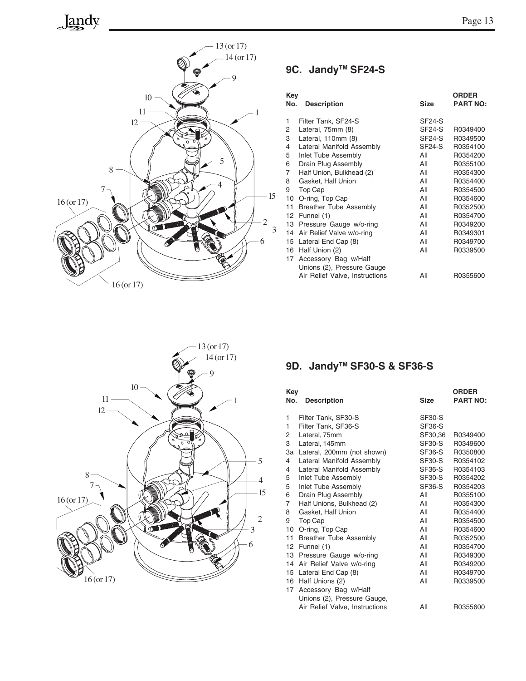## Jandy



### 9C. Jandy<sup>™</sup> SF24-S

| Key<br>No. | <b>Description</b>             | Size                | <b>ORDER</b><br><b>PART NO:</b> |
|------------|--------------------------------|---------------------|---------------------------------|
| 1          | Filter Tank, SF24-S            | SF24-S              |                                 |
| 2          | Lateral, 75mm (8)              | SF <sub>24</sub> -S | R0349400                        |
| 3          | Lateral, 110mm (8)             | <b>SF24-S</b>       | R0349500                        |
| 4          | Lateral Manifold Assembly      | <b>SF24-S</b>       | R0354100                        |
| 5          | Inlet Tube Assembly            | All                 | R0354200                        |
| 6          | Drain Plug Assembly            | All                 | R0355100                        |
| 7          | Half Union, Bulkhead (2)       | All                 | R0354300                        |
| 8          | Gasket, Half Union             | All                 | R0354400                        |
| 9          | Top Cap                        | All                 | R0354500                        |
| 10         | O-ring, Top Cap                | All                 | R0354600                        |
| 11         | <b>Breather Tube Assembly</b>  | All                 | R0352500                        |
| 12         | Funnel (1)                     | All                 | R0354700                        |
| 13         | Pressure Gauge w/o-ring        | All                 | R0349200                        |
| 14         | Air Relief Valve w/o-ring      | All                 | R0349301                        |
| 15         | Lateral End Cap (8)            | All                 | R0349700                        |
| 16         | Half Union (2)                 | All                 | R0339500                        |
| 17         | Accessory Bag w/Half           |                     |                                 |
|            | Unions (2), Pressure Gauge     |                     |                                 |
|            | Air Relief Valve, Instructions | All                 | R0355600                        |



### 9D. Jandy<sup>™</sup> SF30-S & SF36-S

| <b>Key</b><br>No.                                                                                              | <b>Description</b>                                                                                                                                                                                                                                                                                                                                                                                                                                                                                   | <b>Size</b>                                                                                                                                                                                      | <b>ORDER</b><br><b>PART NO:</b>                                                                                                                                                                                      |
|----------------------------------------------------------------------------------------------------------------|------------------------------------------------------------------------------------------------------------------------------------------------------------------------------------------------------------------------------------------------------------------------------------------------------------------------------------------------------------------------------------------------------------------------------------------------------------------------------------------------------|--------------------------------------------------------------------------------------------------------------------------------------------------------------------------------------------------|----------------------------------------------------------------------------------------------------------------------------------------------------------------------------------------------------------------------|
| 1<br>1<br>2<br>3<br>3a<br>4<br>4<br>5<br>5<br>6<br>7<br>8<br>9<br>10<br>11<br>12<br>13<br>14<br>15<br>16<br>17 | Filter Tank, SF30-S<br>Filter Tank, SF36-S<br>Lateral, 75mm<br>Lateral, 145mm<br>Lateral, 200mm (not shown)<br>Lateral Manifold Assembly<br>Lateral Manifold Assembly<br>Inlet Tube Assembly<br>Inlet Tube Assembly<br>Drain Plug Assembly<br>Half Unions, Bulkhead (2)<br>Gasket, Half Union<br>Top Cap<br>O-ring, Top Cap<br><b>Breather Tube Assembly</b><br>Funnel (1)<br>Pressure Gauge w/o-ring<br>Air Relief Valve w/o-ring<br>Lateral End Cap (8)<br>Half Unions (2)<br>Accessory Bag w/Half | <b>SF30-S</b><br><b>SF36-S</b><br>SF30,36<br>SF30-S<br>SF36-S<br><b>SF30-S</b><br>SF36-S<br><b>SF30-S</b><br>SF36-S<br>All<br>All<br>All<br>All<br>All<br>All<br>All<br>All<br>All<br>All<br>All | R0349400<br>R0349600<br>R0350800<br>R0354102<br>R0354103<br>R0354202<br>R0354203<br>R0355100<br>R0354300<br>R0354400<br>R0354500<br>R0354600<br>R0352500<br>R0354700<br>R0349300<br>R0349200<br>R0349700<br>R0339500 |
|                                                                                                                | Unions (2), Pressure Gauge,<br>Air Relief Valve, Instructions                                                                                                                                                                                                                                                                                                                                                                                                                                        | All                                                                                                                                                                                              | R0355600                                                                                                                                                                                                             |
|                                                                                                                |                                                                                                                                                                                                                                                                                                                                                                                                                                                                                                      |                                                                                                                                                                                                  |                                                                                                                                                                                                                      |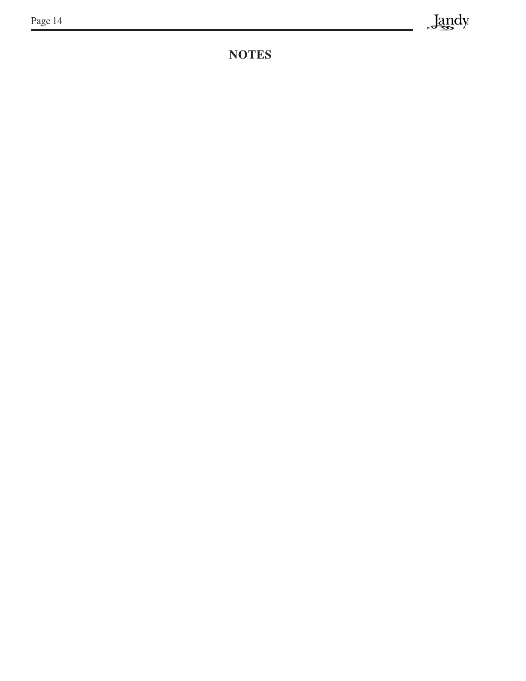### **NOTES**